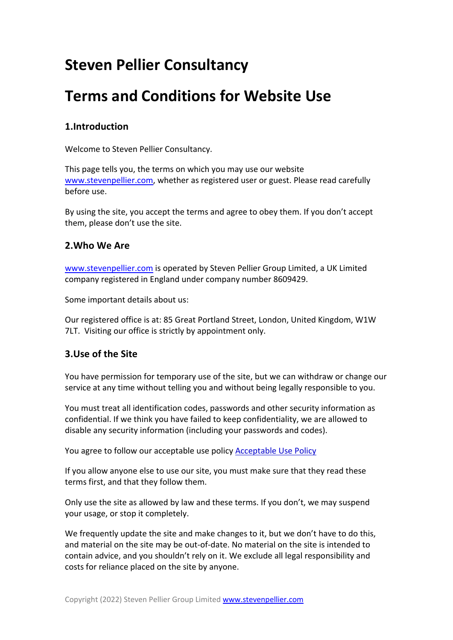# **Steven Pellier Consultancy**

# **Terms and Conditions for Website Use**

## **1.Introduction**

Welcome to Steven Pellier Consultancy.

This page tells you, the terms on which you may use our website www.stevenpellier.com, whether as registered user or guest. Please read carefully before use.

By using the site, you accept the terms and agree to obey them. If you don't accept them, please don't use the site.

## **2.Who We Are**

www.stevenpellier.com is operated by Steven Pellier Group Limited, a UK Limited company registered in England under company number 8609429.

Some important details about us:

Our registered office is at: 85 Great Portland Street, London, United Kingdom, W1W 7LT. Visiting our office is strictly by appointment only.

## **3.Use of the Site**

You have permission for temporary use of the site, but we can withdraw or change our service at any time without telling you and without being legally responsible to you.

You must treat all identification codes, passwords and other security information as confidential. If we think you have failed to keep confidentiality, we are allowed to disable any security information (including your passwords and codes).

You agree to follow our acceptable use policy Acceptable Use Policy

If you allow anyone else to use our site, you must make sure that they read these terms first, and that they follow them.

Only use the site as allowed by law and these terms. If you don't, we may suspend your usage, or stop it completely.

We frequently update the site and make changes to it, but we don't have to do this, and material on the site may be out-of-date. No material on the site is intended to contain advice, and you shouldn't rely on it. We exclude all legal responsibility and costs for reliance placed on the site by anyone.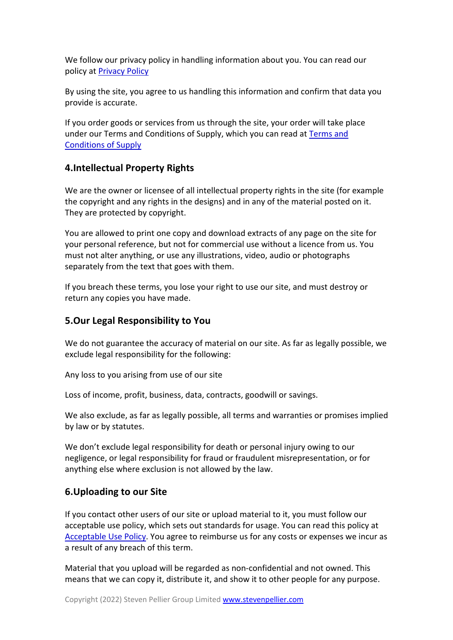We follow our privacy policy in handling information about you. You can read our policy at Privacy Policy

By using the site, you agree to us handling this information and confirm that data you provide is accurate.

If you order goods or services from us through the site, your order will take place under our Terms and Conditions of Supply, which you can read at Terms and Conditions of Supply

## **4.Intellectual Property Rights**

We are the owner or licensee of all intellectual property rights in the site (for example the copyright and any rights in the designs) and in any of the material posted on it. They are protected by copyright.

You are allowed to print one copy and download extracts of any page on the site for your personal reference, but not for commercial use without a licence from us. You must not alter anything, or use any illustrations, video, audio or photographs separately from the text that goes with them.

If you breach these terms, you lose your right to use our site, and must destroy or return any copies you have made.

### **5.Our Legal Responsibility to You**

We do not guarantee the accuracy of material on our site. As far as legally possible, we exclude legal responsibility for the following:

Any loss to you arising from use of our site

Loss of income, profit, business, data, contracts, goodwill or savings.

We also exclude, as far as legally possible, all terms and warranties or promises implied by law or by statutes.

We don't exclude legal responsibility for death or personal injury owing to our negligence, or legal responsibility for fraud or fraudulent misrepresentation, or for anything else where exclusion is not allowed by the law.

### **6.Uploading to our Site**

If you contact other users of our site or upload material to it, you must follow our acceptable use policy, which sets out standards for usage. You can read this policy at Acceptable Use Policy. You agree to reimburse us for any costs or expenses we incur as a result of any breach of this term.

Material that you upload will be regarded as non-confidential and not owned. This means that we can copy it, distribute it, and show it to other people for any purpose.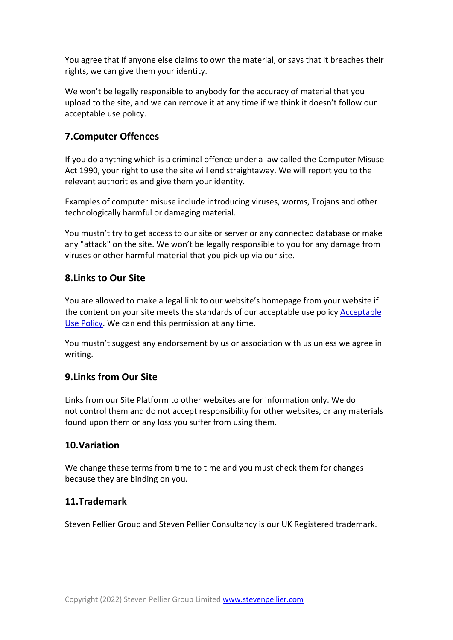You agree that if anyone else claims to own the material, or says that it breaches their rights, we can give them your identity.

We won't be legally responsible to anybody for the accuracy of material that you upload to the site, and we can remove it at any time if we think it doesn't follow our acceptable use policy.

# **7.Computer Offences**

If you do anything which is a criminal offence under a law called the Computer Misuse Act 1990, your right to use the site will end straightaway. We will report you to the relevant authorities and give them your identity.

Examples of computer misuse include introducing viruses, worms, Trojans and other technologically harmful or damaging material.

You mustn't try to get access to our site or server or any connected database or make any "attack" on the site. We won't be legally responsible to you for any damage from viruses or other harmful material that you pick up via our site.

## **8.Links to Our Site**

You are allowed to make a legal link to our website's homepage from your website if the content on your site meets the standards of our acceptable use policy Acceptable Use Policy. We can end this permission at any time.

You mustn't suggest any endorsement by us or association with us unless we agree in writing.

### **9.Links from Our Site**

Links from our Site Platform to other websites are for information only. We do not control them and do not accept responsibility for other websites, or any materials found upon them or any loss you suffer from using them.

### **10.Variation**

We change these terms from time to time and you must check them for changes because they are binding on you.

### **11.Trademark**

Steven Pellier Group and Steven Pellier Consultancy is our UK Registered trademark.